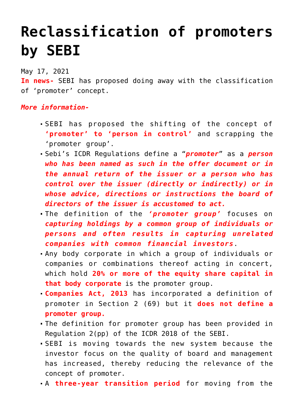## **[Reclassification of promoters](https://journalsofindia.com/reclassification-of-promoters-by-sebi/) [by SEBI](https://journalsofindia.com/reclassification-of-promoters-by-sebi/)**

May 17, 2021

**In news-** SEBI has proposed doing away with the classification of 'promoter' concept.

## *More information-*

- SEBI has proposed the shifting of the concept of **'promoter' to 'person in control'** and scrapping the 'promoter group'.
- Sebi's ICDR Regulations define a "*promoter*" as a *person who has been named as such in the offer document or in the annual return of the issuer or a person who has control over the issuer (directly or indirectly) or in whose advice, directions or instructions the board of directors of the issuer is accustomed to act.*
- The definition of the *'promoter group'* focuses on *capturing holdings by a common group of individuals or persons and often results in capturing unrelated companies with common financial investors*.
- Any body corporate in which a group of individuals or companies or combinations thereof acting in concert, which hold **20% or more of the equity share capital in that body corporate** is the promoter group.
- **Companies Act, 2013** has incorporated a definition of promoter in Section 2 (69) but it **does not define a promoter group.**
- The definition for promoter group has been provided in Regulation 2(pp) of the ICDR 2018 of the SEBI.
- SEBI is moving towards the new system because the investor focus on the quality of board and management has increased, thereby reducing the relevance of the concept of promoter.
- A **three-year transition period** for moving from the